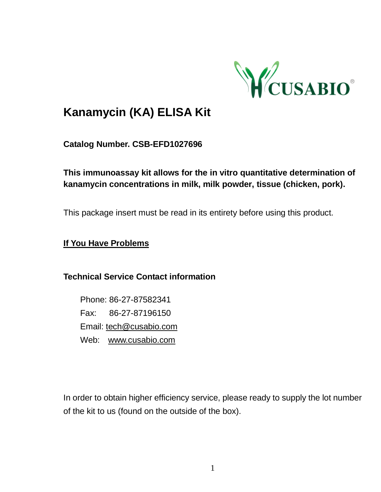

# **Kanamycin (KA) ELISA [Kit](javascript:void(0);)**

**Catalog Number. CSB-EFD1027696**

**This immunoassay kit allows for the in vitro quantitative determination of kanamycin concentrations in milk, milk powder, tissue (chicken, pork).**

This package insert must be read in its entirety before using this product.

**If You Have Problems**

**Technical Service Contact information**

Phone: 86-27-87582341 Fax: 86-27-87196150 Email[: tech@cusabio.com](mailto:tech@cusabio.com) Web: [www.cusabio.com](http://www.cusabio.com/)

In order to obtain higher efficiency service, please ready to supply the lot number of the kit to us (found on the outside of the box).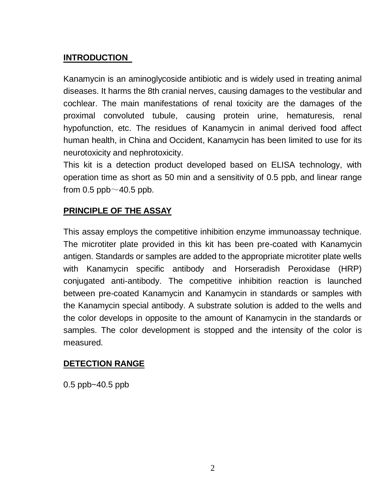#### **INTRODUCTION**

Kanamycin is a[n aminoglycoside](https://en.wikipedia.org/wiki/Aminoglycoside) antibiotic and is widely used in treating animal diseases. It harms the 8th cranial nerves, causing damages to the vestibular and cochlear. The main manifestations of renal toxicity are the damages of the [proximal convoluted tubule,](https://en.wikipedia.org/wiki/Proximal_convoluted_tubule) causing protein urine, hematuresis, [renal](javascript:void(0);) [hypofunction,](javascript:void(0);) etc. The residues of Kanamycin in animal derived food affect human health, in China and Occident, Kanamycin has been limited to use for its neurotoxicity an[d nephrotoxicity.](javascript:void(0);)

This kit is a detection product developed based on ELISA technology, with operation time as short as 50 min and a sensitivity of 0.5 ppb, and linear range from  $0.5$  ppb $\sim$ 40.5 ppb.

#### **PRINCIPLE OF THE ASSAY**

This assay employs the competitive inhibition enzyme immunoassay technique. The microtiter plate provided in this kit has been pre-coated with Kanamycin antigen. Standards or samples are added to the appropriate microtiter plate wells with Kanamycin specific antibody and Horseradish Peroxidase (HRP) conjugated anti-antibody. The competitive inhibition reaction is launched between pre-coated Kanamycin and Kanamycin in standards or samples with the Kanamycin special antibody. A substrate solution is added to the wells and the color develops in opposite to the amount of Kanamycin in the standards or samples. The color development is stopped and the intensity of the color is measured.

#### **DETECTION RANGE**

0.5 ppb~40.5 ppb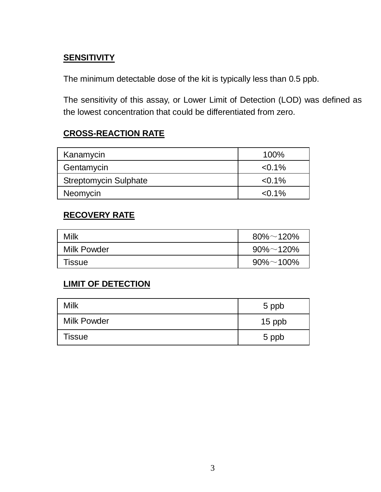## **SENSITIVITY**

The minimum detectable dose of the kit is typically less than 0.5 ppb.

The sensitivity of this assay, or Lower Limit of Detection (LOD) was defined as the lowest concentration that could be differentiated from zero.

#### **CROSS-REACTION RATE**

| 100%      |
|-----------|
| $< 0.1\%$ |
| $< 0.1\%$ |
| $< 0.1\%$ |
|           |

#### **RECOVERY RATE**

| Milk        | $80\% \sim 120\%$ |
|-------------|-------------------|
| Milk Powder | $90\% \sim 120\%$ |
| Tissue      | $90\% \sim 100\%$ |

## **LIMIT OF DETECTION**

| Milk        | 5 ppb  |
|-------------|--------|
| Milk Powder | 15 ppb |
| Tissue      | 5 ppb  |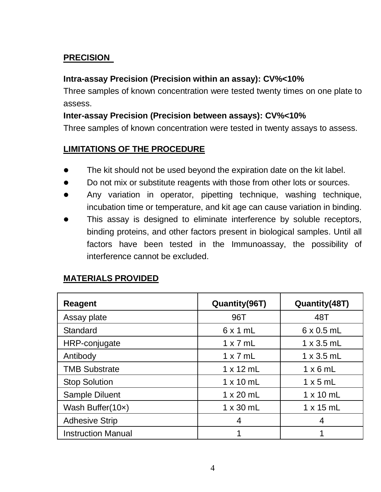#### **PRECISION**

#### **Intra-assay Precision (Precision within an assay): CV%<10%**

Three samples of known concentration were tested twenty times on one plate to assess.

#### **Inter-assay Precision (Precision between assays): CV%<10%**

Three samples of known concentration were tested in twenty assays to assess.

#### **LIMITATIONS OF THE PROCEDURE**

- The kit should not be used beyond the expiration date on the kit label.
- Do not mix or substitute reagents with those from other lots or sources.
- Any variation in operator, pipetting technique, washing technique, incubation time or temperature, and kit age can cause variation in binding.
- This assay is designed to eliminate interference by soluble receptors, binding proteins, and other factors present in biological samples. Until all factors have been tested in the Immunoassay, the possibility of interference cannot be excluded.

| Reagent                   | Quantity(96T)    | Quantity(48T)     |
|---------------------------|------------------|-------------------|
| Assay plate               | 96T              | 48T               |
| Standard                  | 6x1mL            | $6 \times 0.5$ mL |
| HRP-conjugate             | $1 \times 7$ mL  | $1 \times 3.5$ mL |
| Antibody                  | $1 \times 7$ mL  | $1 \times 3.5$ mL |
| <b>TMB Substrate</b>      | $1 \times 12$ mL | $1 \times 6$ mL   |
| <b>Stop Solution</b>      | $1 \times 10$ mL | $1 \times 5$ mL   |
| Sample Diluent            | $1 \times 20$ mL | $1 \times 10$ mL  |
| Wash Buffer(10x)          | $1 \times 30$ mL | $1 \times 15$ mL  |
| <b>Adhesive Strip</b>     | 4                | 4                 |
| <b>Instruction Manual</b> |                  |                   |

#### **MATERIALS PROVIDED**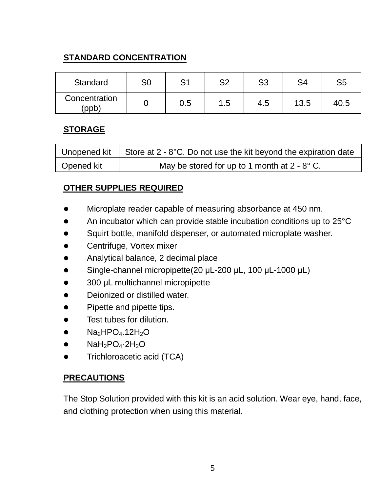## **STANDARD CONCENTRATION**

| Standard               | S0 | S1  | ິດ<br>ےت | S3  | S4   | S <sub>5</sub> |
|------------------------|----|-----|----------|-----|------|----------------|
| Concentration<br>(ppb) |    | 0.5 | 1.5      | 4.5 | 13.5 | 40.5           |

#### **STORAGE**

|            | Unopened kit   Store at $2 - 8$ °C. Do not use the kit beyond the expiration date |
|------------|-----------------------------------------------------------------------------------|
| Opened kit | May be stored for up to 1 month at $2 - 8^\circ$ C.                               |

#### **OTHER SUPPLIES REQUIRED**

- Microplate reader capable of measuring absorbance at 450 nm.
- An incubator which can provide stable incubation conditions up to 25°C
- Squirt bottle, manifold dispenser, or automated microplate washer.
- Centrifuge, Vortex mixer
- Analytical balance, 2 decimal place
- Single-channel micropipette(20 μL-200 μL, 100 μL-1000 μL)
- 300 μL multichannel micropipette
- Deionized or distilled water.
- [Pipette](javascript:void(0);) and pipette tips.
- **•** Test tubes for dilution
- $\bullet$  Na<sub>2</sub>HPO<sub>4</sub>.12H<sub>2</sub>O
- $\bullet$  NaH<sub>2</sub>PO<sub>4</sub> $\cdot$ 2H<sub>2</sub>O
- **•** Trichloroacetic acid (TCA)

#### **PRECAUTIONS**

The Stop Solution provided with this kit is an acid solution. Wear eve, hand, face, and clothing protection when using this material.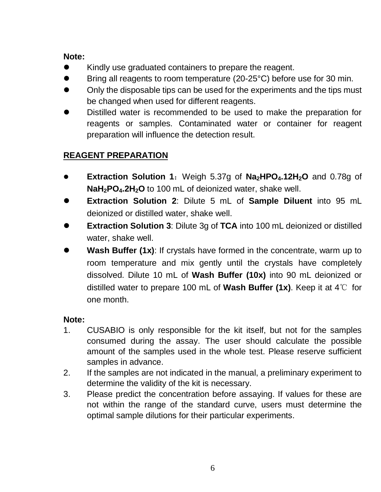#### **Note:**

- Kindly use graduated containers to prepare the reagent.
- Bring all reagents to room temperature (20-25°C) before use for 30 min.
- Only the disposable tips can be used for the experiments and the tips must be changed when used for different reagents.
- Distilled water is recommended to be used to make the preparation for reagents or samples. Contaminated water or container for reagent preparation will influence the detection result.

## **REAGENT PREPARATION**

- **Extraction Solution 1**:Weigh 5.37g of **Na2HPO4.12H2O** and 0.78g of **NaH2PO4.2H2O** to 100 mL of deionized water, shake well.
- **Extraction Solution 2**: Dilute 5 mL of **Sample Diluent** into 95 mL deionized or distilled water, shake well.
- **Extraction Solution 3**: Dilute 3g of **TCA** into 100 mL deionized or distilled water, shake well.
- **Wash Buffer (1x)**: If crystals have formed in the concentrate, warm up to room temperature and mix gently until the crystals have completely dissolved. Dilute 10 mL of **Wash Buffer (10x)** into 90 mL deionized or distilled water to prepare 100 mL of **Wash Buffer (1x)**. Keep it at 4℃ for one month.

#### **Note:**

- 1. CUSABIO is only responsible for the kit itself, but not for the samples consumed during the assay. The user should calculate the possible amount of the samples used in the whole test. Please reserve sufficient samples in advance.
- 2. If the samples are not indicated in the manual, a preliminary experiment to determine the validity of the kit is necessary.
- 3. Please predict the concentration before assaying. If values for these are not within the range of the standard curve, users must determine the optimal sample dilutions for their particular experiments.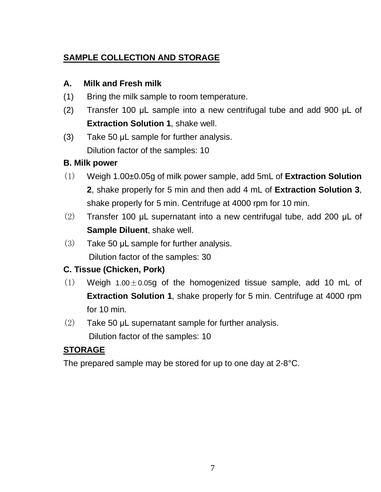## **SAMPLE COLLECTION AND STORAGE**

#### **A. Milk and Fresh milk**

- (1) Bring the milk sample to room temperature.
- (2) Transfer 100 μL sample into a new centrifugal tube and add 900 μL of **Extraction Solution 1**, shake well.
- (3) Take 50 μL sample for further analysis. Dilution factor of the samples: 10

## **B. Milk power**

- (1) Weigh 1.00±0.05g of milk power sample, add 5mL of **Extraction Solution 2**, shake properly for 5 min and then add 4 mL of **Extraction Solution 3**, shake properly for 5 min. Centrifuge at 4000 rpm for 10 min.
- (2) Transfer 100 μL supernatant into a new centrifugal tube, add 200 μL of **Sample Diluent**, shake well.
- (3) Take 50 μL sample for further analysis. Dilution factor of the samples: 30

## **C[. Tissue](javascript:void(0);) (Chicken, Pork)**

- $(1)$  Weigh 1.00  $\pm$  0.05g of the homogenized tissue sample, add 10 mL of **Extraction Solution 1**, shake properly for 5 min. Centrifuge at 4000 rpm for 10 min.
- (2) Take 50 μL supernatant sample for further analysis.

Dilution factor of the samples: 10

## **STORAGE**

The prepared sample may be stored for up to one day at 2-8°C.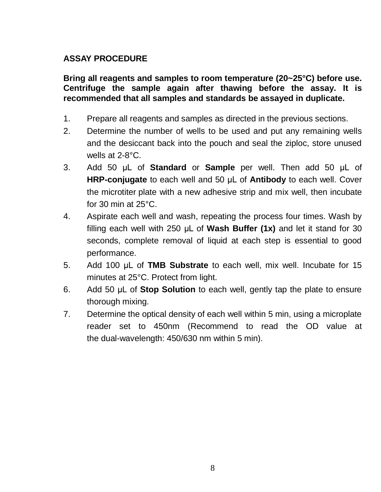#### **ASSAY PROCEDURE**

**Bring all reagents and samples to room temperature (20~25°C) before use. Centrifuge the sample again after thawing before the assay. It is recommended that all samples and standards be assayed in duplicate.** 

- 1. Prepare all reagents and samples as directed in the previous sections.
- 2. Determine the number of wells to be used and put any remaining wells and the desiccant back into the pouch and seal the ziploc, store unused wells at 2-8°C.
- 3. Add 50 μL of **Standard** or **Sample** per well. Then add 50 μL of **HRP-conjugate** to each well and 50 μL of **Antibody** to each well. Cover the microtiter plate with a new adhesive strip and mix well, then incubate for 30 min at 25°C.
- 4. Aspirate each well and wash, repeating the process four times. Wash by filling each well with 250 μL of **Wash Buffer (1x)** and let it stand for 30 seconds, complete removal of liquid at each step is essential to good performance.
- 5. Add 100 μL of **TMB Substrate** to each well, mix well, Incubate for 15 minutes at 25°C. Protect from light.
- 6. Add 50 μL of **Stop Solution** to each well, gently tap the plate to ensure thorough mixing.
- 7. Determine the optical density of each well within 5 min, using a microplate reader set to 450nm (Recommend to read the OD value at the dual-wavelength: 450/630 nm within 5 min).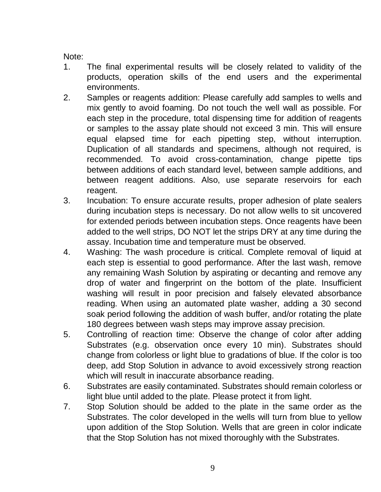Note:

- 1. The final experimental results will be closely related to validity of the products, operation skills of the end users and the experimental environments.
- 2. Samples or reagents addition: Please carefully add samples to wells and mix gently to avoid foaming. Do not touch the well wall as possible. For each step in the procedure, total dispensing time for addition of reagents or samples to the assay plate should not exceed 3 min. This will ensure equal elapsed time for each pipetting step, without interruption. Duplication of all standards and specimens, although not required, is recommended. To avoid cross-contamination, change pipette tips between additions of each standard level, between sample additions, and between reagent additions. Also, use separate reservoirs for each reagent.
- 3. Incubation: To ensure accurate results, proper adhesion of plate sealers during incubation steps is necessary. Do not allow wells to sit uncovered for extended periods between incubation steps. Once reagents have been added to the well strips, DO NOT let the strips DRY at any time during the assay. Incubation time and temperature must be observed.
- 4. Washing: The wash procedure is critical. Complete removal of liquid at each step is essential to good performance. After the last wash, remove any remaining Wash Solution by aspirating or decanting and remove any drop of water and fingerprint on the bottom of the plate. Insufficient washing will result in poor precision and falsely elevated absorbance reading. When using an automated plate washer, adding a 30 second soak period following the addition of wash buffer, and/or rotating the plate 180 degrees between wash steps may improve assay precision.
- 5. Controlling of reaction time: Observe the change of color after adding Substrates (e.g. observation once every 10 min). Substrates should change from colorless or light blue to gradations of blue. If the color is too deep, add Stop Solution in advance to avoid excessively strong reaction which will result in inaccurate absorbance reading.
- 6. Substrates are easily contaminated. Substrates should remain colorless or light blue until added to the plate. Please protect it from light.
- 7. Stop Solution should be added to the plate in the same order as the Substrates. The color developed in the wells will turn from blue to yellow upon addition of the Stop Solution. Wells that are green in color indicate that the Stop Solution has not mixed thoroughly with the Substrates.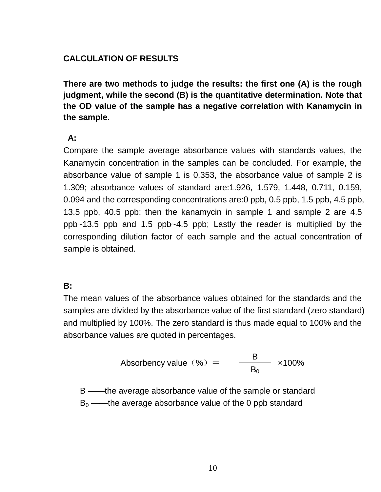#### **CALCULATION OF RESULTS**

**There are two methods to judge the results: the first one (A) is the rough judgment, while the second (B) is the quantitative determination. Note that the OD value of the sample has a negative correlation with Kanamycin in the sample.** 

#### **A:**

Compare the sample average absorbance values with standards values, the Kanamycin concentration in the samples can be concluded. For example, the absorbance value of sample 1 is 0.353, the absorbance value of sample 2 is 1.309; absorbance values of standard are:1.926, 1.579, 1.448, 0.711, 0.159, 0.094 and the corresponding concentrations are:0 ppb, 0.5 ppb, 1.5 ppb, 4.5 ppb, 13.5 ppb, 40.5 ppb; then the kanamycin in sample 1 and sample 2 are 4.5 ppb~13.5 ppb and 1.5 ppb~4.5 ppb; Lastly the reader is multiplied by the corresponding dilution factor of each sample and the actual concentration of sample is obtained.

#### **B:**

The mean values of the absorbance values obtained for the standards and the samples are divided by the absorbance value of the first standard (zero standard) and multiplied by 100%. The zero standard is thus made equal to 100% and the absorbance values are quoted in percentages.

Absorbency value (
$$
\%
$$
) =  $\frac{B}{B_0}$  x100%

B ——the average absorbance value of the sample or standard  $B_0$  ——the average absorbance value of the 0 ppb standard